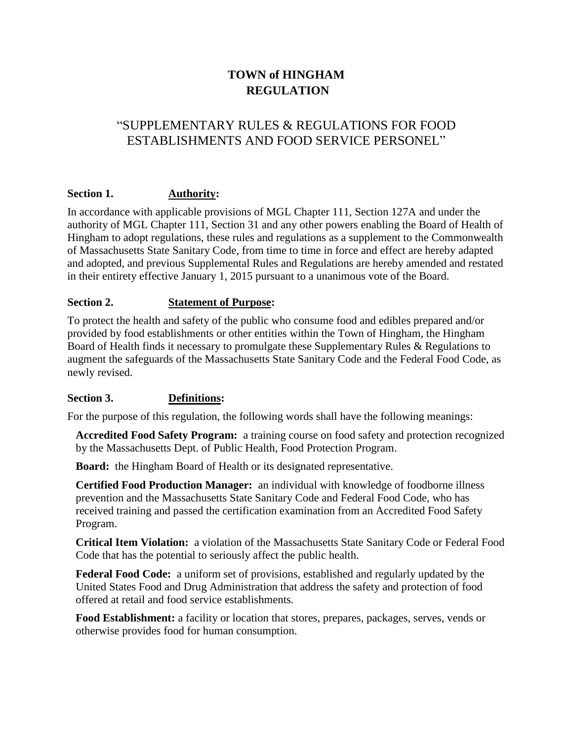# **TOWN of HINGHAM REGULATION**

## "SUPPLEMENTARY RULES & REGULATIONS FOR FOOD ESTABLISHMENTS AND FOOD SERVICE PERSONEL"

## **Section 1. Authority:**

In accordance with applicable provisions of MGL Chapter 111, Section 127A and under the authority of MGL Chapter 111, Section 31 and any other powers enabling the Board of Health of Hingham to adopt regulations, these rules and regulations as a supplement to the Commonwealth of Massachusetts State Sanitary Code, from time to time in force and effect are hereby adapted and adopted, and previous Supplemental Rules and Regulations are hereby amended and restated in their entirety effective January 1, 2015 pursuant to a unanimous vote of the Board.

## **Section 2. Statement of Purpose:**

To protect the health and safety of the public who consume food and edibles prepared and/or provided by food establishments or other entities within the Town of Hingham, the Hingham Board of Health finds it necessary to promulgate these Supplementary Rules & Regulations to augment the safeguards of the Massachusetts State Sanitary Code and the Federal Food Code, as newly revised.

## **Section 3. Definitions:**

For the purpose of this regulation, the following words shall have the following meanings:

**Accredited Food Safety Program:** a training course on food safety and protection recognized by the Massachusetts Dept. of Public Health, Food Protection Program.

**Board:** the Hingham Board of Health or its designated representative.

**Certified Food Production Manager:** an individual with knowledge of foodborne illness prevention and the Massachusetts State Sanitary Code and Federal Food Code, who has received training and passed the certification examination from an Accredited Food Safety Program.

**Critical Item Violation:** a violation of the Massachusetts State Sanitary Code or Federal Food Code that has the potential to seriously affect the public health.

**Federal Food Code:** a uniform set of provisions, established and regularly updated by the United States Food and Drug Administration that address the safety and protection of food offered at retail and food service establishments.

**Food Establishment:** a facility or location that stores, prepares, packages, serves, vends or otherwise provides food for human consumption.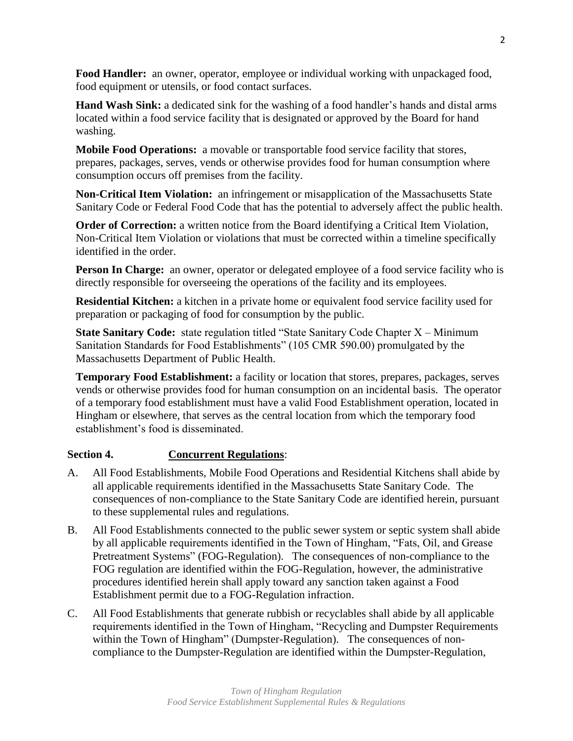**Food Handler:** an owner, operator, employee or individual working with unpackaged food, food equipment or utensils, or food contact surfaces.

**Hand Wash Sink:** a dedicated sink for the washing of a food handler's hands and distal arms located within a food service facility that is designated or approved by the Board for hand washing.

**Mobile Food Operations:** a movable or transportable food service facility that stores, prepares, packages, serves, vends or otherwise provides food for human consumption where consumption occurs off premises from the facility.

**Non-Critical Item Violation:** an infringement or misapplication of the Massachusetts State Sanitary Code or Federal Food Code that has the potential to adversely affect the public health.

**Order of Correction:** a written notice from the Board identifying a Critical Item Violation, Non-Critical Item Violation or violations that must be corrected within a timeline specifically identified in the order.

**Person In Charge:** an owner, operator or delegated employee of a food service facility who is directly responsible for overseeing the operations of the facility and its employees.

**Residential Kitchen:** a kitchen in a private home or equivalent food service facility used for preparation or packaging of food for consumption by the public.

**State Sanitary Code:** state regulation titled "State Sanitary Code Chapter X – Minimum Sanitation Standards for Food Establishments" (105 CMR 590.00) promulgated by the Massachusetts Department of Public Health.

**Temporary Food Establishment:** a facility or location that stores, prepares, packages, serves vends or otherwise provides food for human consumption on an incidental basis. The operator of a temporary food establishment must have a valid Food Establishment operation, located in Hingham or elsewhere, that serves as the central location from which the temporary food establishment's food is disseminated.

## **Section 4. Concurrent Regulations**:

- A. All Food Establishments, Mobile Food Operations and Residential Kitchens shall abide by all applicable requirements identified in the Massachusetts State Sanitary Code. The consequences of non-compliance to the State Sanitary Code are identified herein, pursuant to these supplemental rules and regulations.
- B. All Food Establishments connected to the public sewer system or septic system shall abide by all applicable requirements identified in the Town of Hingham, "Fats, Oil, and Grease Pretreatment Systems" (FOG-Regulation). The consequences of non-compliance to the FOG regulation are identified within the FOG-Regulation, however, the administrative procedures identified herein shall apply toward any sanction taken against a Food Establishment permit due to a FOG-Regulation infraction.
- C. All Food Establishments that generate rubbish or recyclables shall abide by all applicable requirements identified in the Town of Hingham, "Recycling and Dumpster Requirements within the Town of Hingham" (Dumpster-Regulation). The consequences of noncompliance to the Dumpster-Regulation are identified within the Dumpster-Regulation,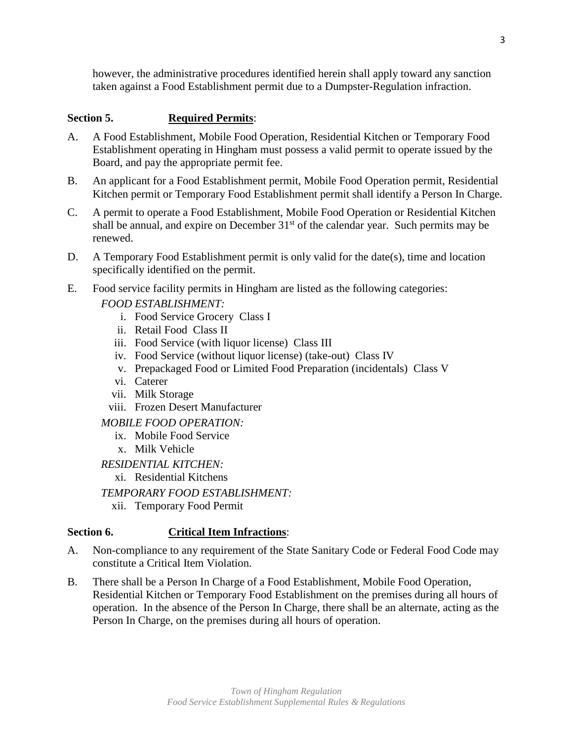however, the administrative procedures identified herein shall apply toward any sanction taken against a Food Establishment permit due to a Dumpster-Regulation infraction.

## **Section 5. Required Permits**:

- A. A Food Establishment, Mobile Food Operation, Residential Kitchen or Temporary Food Establishment operating in Hingham must possess a valid permit to operate issued by the Board, and pay the appropriate permit fee.
- B. An applicant for a Food Establishment permit, Mobile Food Operation permit, Residential Kitchen permit or Temporary Food Establishment permit shall identify a Person In Charge.
- C. A permit to operate a Food Establishment, Mobile Food Operation or Residential Kitchen shall be annual, and expire on December  $31<sup>st</sup>$  of the calendar year. Such permits may be renewed.
- D. A Temporary Food Establishment permit is only valid for the date(s), time and location specifically identified on the permit.
- E. Food service facility permits in Hingham are listed as the following categories: *FOOD ESTABLISHMENT:*
	- i. Food Service Grocery Class I
	- ii. Retail Food Class II
	- iii. Food Service (with liquor license) Class III
	- iv. Food Service (without liquor license) (take-out) Class IV
	- v. Prepackaged Food or Limited Food Preparation (incidentals) Class V
	- vi. Caterer
	- vii. Milk Storage
	- viii. Frozen Desert Manufacturer

*MOBILE FOOD OPERATION:*

- ix. Mobile Food Service
- x. Milk Vehicle

*RESIDENTIAL KITCHEN:*

- xi. Residential Kitchens
- *TEMPORARY FOOD ESTABLISHMENT:*
	- xii. Temporary Food Permit

## **Section 6. Critical Item Infractions**:

- A. Non-compliance to any requirement of the State Sanitary Code or Federal Food Code may constitute a Critical Item Violation.
- B. There shall be a Person In Charge of a Food Establishment, Mobile Food Operation, Residential Kitchen or Temporary Food Establishment on the premises during all hours of operation. In the absence of the Person In Charge, there shall be an alternate, acting as the Person In Charge, on the premises during all hours of operation.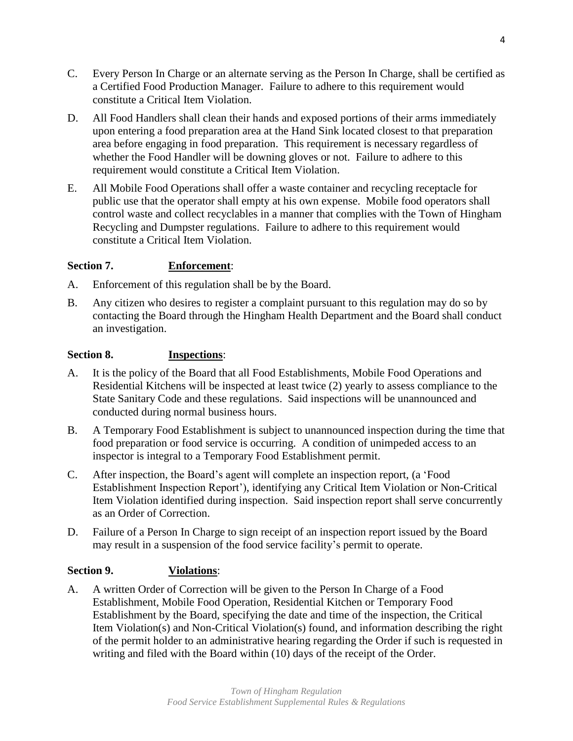C. Every Person In Charge or an alternate serving as the Person In Charge, shall be certified as a Certified Food Production Manager. Failure to adhere to this requirement would constitute a Critical Item Violation.

4

- D. All Food Handlers shall clean their hands and exposed portions of their arms immediately upon entering a food preparation area at the Hand Sink located closest to that preparation area before engaging in food preparation. This requirement is necessary regardless of whether the Food Handler will be downing gloves or not. Failure to adhere to this requirement would constitute a Critical Item Violation.
- E. All Mobile Food Operations shall offer a waste container and recycling receptacle for public use that the operator shall empty at his own expense. Mobile food operators shall control waste and collect recyclables in a manner that complies with the Town of Hingham Recycling and Dumpster regulations. Failure to adhere to this requirement would constitute a Critical Item Violation.

## **Section 7. Enforcement**:

- A. Enforcement of this regulation shall be by the Board.
- B. Any citizen who desires to register a complaint pursuant to this regulation may do so by contacting the Board through the Hingham Health Department and the Board shall conduct an investigation.

## **Section 8. Inspections**:

- A. It is the policy of the Board that all Food Establishments, Mobile Food Operations and Residential Kitchens will be inspected at least twice (2) yearly to assess compliance to the State Sanitary Code and these regulations. Said inspections will be unannounced and conducted during normal business hours.
- B. A Temporary Food Establishment is subject to unannounced inspection during the time that food preparation or food service is occurring. A condition of unimpeded access to an inspector is integral to a Temporary Food Establishment permit.
- C. After inspection, the Board's agent will complete an inspection report, (a 'Food Establishment Inspection Report'), identifying any Critical Item Violation or Non-Critical Item Violation identified during inspection. Said inspection report shall serve concurrently as an Order of Correction.
- D. Failure of a Person In Charge to sign receipt of an inspection report issued by the Board may result in a suspension of the food service facility's permit to operate.

## **Section 9. Violations**:

A. A written Order of Correction will be given to the Person In Charge of a Food Establishment, Mobile Food Operation, Residential Kitchen or Temporary Food Establishment by the Board, specifying the date and time of the inspection, the Critical Item Violation(s) and Non-Critical Violation(s) found, and information describing the right of the permit holder to an administrative hearing regarding the Order if such is requested in writing and filed with the Board within (10) days of the receipt of the Order.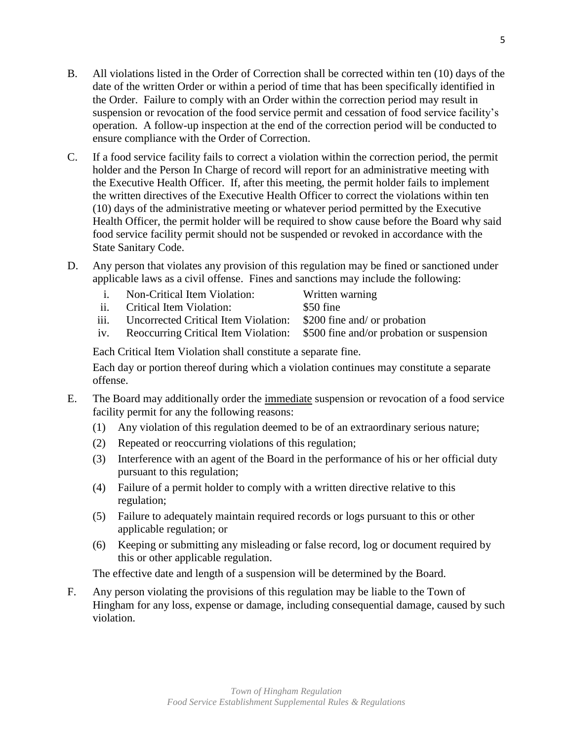- B. All violations listed in the Order of Correction shall be corrected within ten (10) days of the date of the written Order or within a period of time that has been specifically identified in the Order. Failure to comply with an Order within the correction period may result in suspension or revocation of the food service permit and cessation of food service facility's operation. A follow-up inspection at the end of the correction period will be conducted to ensure compliance with the Order of Correction.
- C. If a food service facility fails to correct a violation within the correction period, the permit holder and the Person In Charge of record will report for an administrative meeting with the Executive Health Officer. If, after this meeting, the permit holder fails to implement the written directives of the Executive Health Officer to correct the violations within ten (10) days of the administrative meeting or whatever period permitted by the Executive Health Officer, the permit holder will be required to show cause before the Board why said food service facility permit should not be suspended or revoked in accordance with the State Sanitary Code.
- D. Any person that violates any provision of this regulation may be fined or sanctioned under applicable laws as a civil offense. Fines and sanctions may include the following:

| $\mathbf{1}$ | Non-Critical Item Violation:                                           | Written warning |
|--------------|------------------------------------------------------------------------|-----------------|
|              | ii. Critical Item Violation:                                           | \$50 fine       |
|              | iii. Uncorrected Critical Item Violation: \$200 fine and/ or probation |                 |

iv. Reoccurring Critical Item Violation: \$500 fine and/or probation or suspension

Each Critical Item Violation shall constitute a separate fine.

Each day or portion thereof during which a violation continues may constitute a separate offense.

- E. The Board may additionally order the immediate suspension or revocation of a food service facility permit for any the following reasons:
	- (1) Any violation of this regulation deemed to be of an extraordinary serious nature;
	- (2) Repeated or reoccurring violations of this regulation;
	- (3) Interference with an agent of the Board in the performance of his or her official duty pursuant to this regulation;
	- (4) Failure of a permit holder to comply with a written directive relative to this regulation;
	- (5) Failure to adequately maintain required records or logs pursuant to this or other applicable regulation; or
	- (6) Keeping or submitting any misleading or false record, log or document required by this or other applicable regulation.

The effective date and length of a suspension will be determined by the Board.

F. Any person violating the provisions of this regulation may be liable to the Town of Hingham for any loss, expense or damage, including consequential damage, caused by such violation.